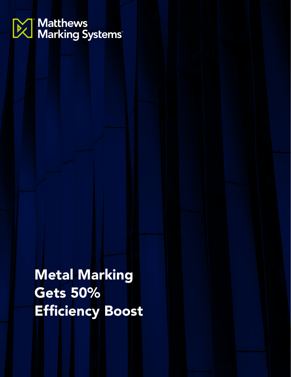# **De Matthews**<br>De Marking Systems

Metal Marking Gets 50% Efficiency Boost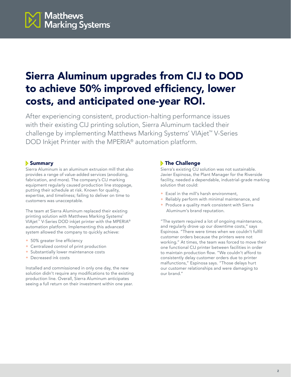

## Sierra Aluminum upgrades from CIJ to DOD to achieve 50% improved efficiency, lower costs, and anticipated one-year ROI.

After experiencing consistent, production-halting performance issues with their existing CIJ printing solution, Sierra Aluminum tackled their challenge by implementing Matthews Marking Systems' VIAjet™ V-Series DOD Inkjet Printer with the MPERIA® automation platform.

#### Summary

Sierra Aluminum is an aluminum extrusion mill that also provides a range of value-added services (anodizing, fabrication, and more). The company's CIJ marking equipment regularly caused production line stoppage, putting their schedule at risk. Known for quality, expertise, and timeliness; failing to deliver on time to customers was unacceptable.

The team at Sierra Aluminum replaced their existing printing solution with Matthews Marking Systems' VIAjet<sup>™</sup> V-Series DOD inkjet printer with the MPERIA® automation platform. Implementing this advanced system allowed the company to quickly achieve:

- + 50% greater line efficiency
- + Centralized control of print production
- + Substantially lower maintenance costs
- + Decreased ink costs

Installed and commissioned in only one day, the new solution didn't require any modifications to the existing production line. Overall, Sierra Aluminum anticipates seeing a full return on their investment within one year.

#### **The Challenge**

Sierra's existing CIJ solution was not sustainable. Javier Espinosa, the Plant Manager for the Riverside facility, needed a dependable, industrial-grade marking solution that could:

- + Excel in the mill's harsh environment,
- + Reliably perform with minimal maintenance, and
- + Produce a quality mark consistent with Sierra Aluminum's brand reputation.

"The system required a lot of ongoing maintenance, and regularly drove up our downtime costs," says Espinosa. "There were times when we couldn't fulfill customer orders because the printers were not working." At times, the team was forced to move their one functional CIJ printer between facilities in order to maintain production flow. "We couldn't afford to consistently delay customer orders due to printer malfunctions," Espinosa says. "Those delays hurt our customer relationships and were damaging to our brand."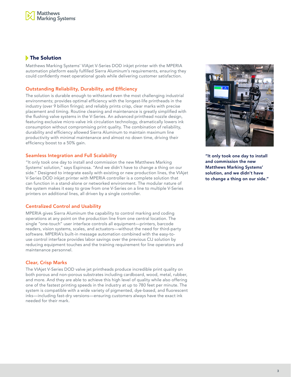### **The Solution**

Matthews Marking Systems' VIAjet V-Series DOD inkjet printer with the MPERIA automation platform easily fulfilled Sierra Aluminum's requirements, ensuring they could confidently meet operational goals while delivering customer satisfaction.

#### Outstanding Reliability, Durability, and Efficiency

The solution is durable enough to withstand even the most challenging industrial environments; provides optimal efficiency with the longest-life printheads in the industry (over 9 billion firings); and reliably prints crisp, clear marks with precise placement and timing. Routine cleaning and maintenance is greatly simplified with the flushing valve systems in the V-Series. An advanced printhead nozzle design, featuring exclusive micro-valve ink circulation technology, dramatically lowers ink consumption without compromising print quality. The combination of reliability, durability and efficiency allowed Sierra Aluminum to maintain maximum line productivity with minimal maintenance and almost no down time, driving their efficiency boost to a 50% gain.

#### Seamless Integration and Full Scalability

"It only took one day to install and commission the new Matthews Marking Systems' solution," says Espinosa. "And we didn't have to change a thing on our side." Designed to integrate easily with existing or new production lines, the VIAjet V-Series DOD inkjet printer with MPERIA controller is a complete solution that can function in a stand-alone or networked environment. The modular nature of the system makes it easy to grow from one V-Series on a line to multiple V-Series printers on additional lines, all driven by a single controller.

#### Centralized Control and Usability

MPERIA gives Sierra Aluminum the capability to control marking and coding operations at any point on the production line from one central location. The single "one-touch" user interface controls all equipment—printers, barcode readers, vision systems, scales, and actuators—without the need for third-party software. MPERIA's built-in message automation combined with the easy-touse control interface provides labor savings over the previous CIJ solution by reducing equipment touches and the training requirement for line operators and maintenance personnel.

#### Clear, Crisp Marks

The VIAjet V-Series DOD valve jet printheads produce incredible print quality on both porous and non-porous substrates including cardboard, wood, metal, rubber, and more. And they are able to achieve this high level of quality while also offering one of the fastest printing speeds in the industry at up to 780 feet per minute. The system is compatible with a wide variety of pigmented, dye-based, and fluorescent inks—including fast-dry versions—ensuring customers always have the exact ink needed for their mark.



"It only took one day to install and commission the new Matthews Marking Systems' solution, and we didn't have to change a thing on our side."